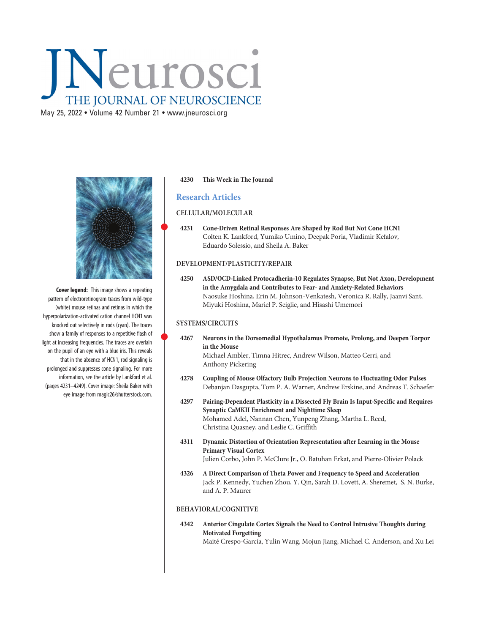# Neurosci THE JOURNAL OF NEUROSCIENCE

May 25, 2022 • Volume 42 Number 21 • [www.jneurosci.org](https://www.jneurosci.org)



Cover legend: This image shows a repeating pattern of electroretinogram traces from wild-type (white) mouse retinas and retinas in which the hyperpolarization-activated cation channel HCN1 was knocked out selectively in rods (cyan). The traces show a family of responses to a repetitive flash of light at increasing frequencies. The traces are overlain on the pupil of an eye with a blue iris. This reveals that in the absence of HCN1, rod signaling is prolonged and suppresses cone signaling. For more information, see the article by Lankford et al. (pages 4231–4249). Cover image: Sheila Baker with eye image from magic26/shutterstock.com.

#### 4230 This Week in The Journal

## Research Articles

## CELLULAR/MOLECULAR

 <sup>4231</sup> Cone-Driven Retinal Responses Are Shaped by Rod But Not Cone HCN1 Colten K. Lankford, Yumiko Umino, Deepak Poria, Vladimir Kefalov, Eduardo Solessio, and Sheila A. Baker

#### DEVELOPMENT/PLASTICITY/REPAIR

4250 ASD/OCD-Linked Protocadherin-10 Regulates Synapse, But Not Axon, Development in the Amygdala and Contributes to Fear- and Anxiety-Related Behaviors Naosuke Hoshina, Erin M. Johnson-Venkatesh, Veronica R. Rally, Jaanvi Sant, Miyuki Hoshina, Mariel P. Seiglie, and Hisashi Umemori

#### SYSTEMS/CIRCUITS

- <sup>4267</sup> Neurons in the Dorsomedial Hypothalamus Promote, Prolong, and Deepen Torpor in the Mouse Michael Ambler, Timna Hitrec, Andrew Wilson, Matteo Cerri, and Anthony Pickering
- 4278 Coupling of Mouse Olfactory Bulb Projection Neurons to Fluctuating Odor Pulses Debanjan Dasgupta, Tom P. A. Warner, Andrew Erskine, and Andreas T. Schaefer
- 4297 Pairing-Dependent Plasticity in a Dissected Fly Brain Is Input-Specific and Requires Synaptic CaMKII Enrichment and Nighttime Sleep Mohamed Adel, Nannan Chen, Yunpeng Zhang, Martha L. Reed, Christina Quasney, and Leslie C. Griffith
- 4311 Dynamic Distortion of Orientation Representation after Learning in the Mouse Primary Visual Cortex Julien Corbo, John P. McClure Jr., O. Batuhan Erkat, and Pierre-Olivier Polack
- 4326 A Direct Comparison of Theta Power and Frequency to Speed and Acceleration Jack P. Kennedy, Yuchen Zhou, Y. Qin, Sarah D. Lovett, A. Sheremet, S. N. Burke, and A. P. Maurer

## BEHAVIORAL/COGNITIVE

4342 Anterior Cingulate Cortex Signals the Need to Control Intrusive Thoughts during Motivated Forgetting Maité Crespo-García, Yulin Wang, Mojun Jiang, Michael C. Anderson, and Xu Lei